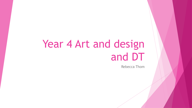# Year 4 Art and design and DT

Rebecca Thom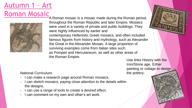#### Autumn 1 – Art Roman Mosaic



A Roman mosaic is a mosaic made during the Roman period, throughout the Roman Republic and later Empire. Mosaics were used in a variety of private and public buildings. They were highly influenced by earlier and contemporary Hellenistic Greek mosaics, and often included famous figures from history and mythology, such as Alexander the Great in the Alexander Mosaic. A large proportion of surviving examples come from Italian sites such as Pompeii and Herculaneum, as well as other areas of the Roman Empire.

Use links History with the Iron/Stone age. Either painting or collage to design the pottery.

- I can make a research page around Roman mosaics.
- I can sketch mosaics, paying close attention to the details within the designs.
- I can use a range of tools to create a desired effect.
- I can comment on my own and other's art work.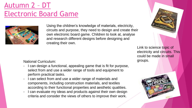### Autumn 2 – DT Electronic Board Game



Using the children's knowledge of materials, electricity, circuits and purpose, they need to design and create their own electronic board game. Children to look at, analyse and research different designs before designing and creating their own.

National Curriculum:

- I can design a functional, appealing game that is fit for purpose, select from and use a wider range of tools and equipment to perform practical tasks.
- I can select from and use a wider range of materials and components, including construction materials, and textiles according to their functional properties and aesthetic qualities.
- I can evaluate my ideas and products against their own design criteria and consider the views of others to improve their work.



Link to science topic of electricity and circuits. This could be made in small groups.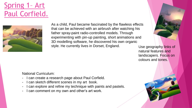Spring 1– Art Paul Corfield.



As a child, Paul became fascinated by the flawless effects that can be achieved with an airbrush after watching his father spray-paint radio-controlled models. Through experimenting with pin-up painting, short animations and 3D modelling software, he discovered his own organic style. He currently lives in Dorset, England.



Use geography links of natural features and landscapers. Focus on colours and tones.

- I can create a research page about Paul Corfield.
- I can sketch different scenes in my art book.
- I can explore and refine my technique with paints and pastels.
- I can comment on my own and other's art work.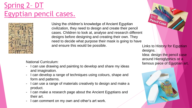## Spring 2– DT Egyptian pencil cases.



Using the children's knowledge of Ancient Egyptian civilization, they need to design and create their pencil cases. Children to look at, analyse and research different designs before designing and creating their own. They need to decide what purpose their mask is going to have and ensure this would be possible.

- I can use drawing and painting to develop and share my ideas and imagination.
- I can develop a range of techniques using colours, shape and form and patterns.
- I can use a range of materials creatively to design and make a product.
- I can make a research page about the Ancient Egyptians and their art.
- I can comment on my own and other's art work.

Pencil Case Links to History for Egyptian designs. Idea: design the pencil case around Hieroglyphics or a National Curriculum:<br> **Famous piece of Egyptian art.** The end of Egyptian art.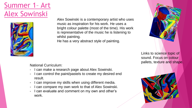Summer 1– Art Alex Sowinski



Alex Sowinski is a contemporary artist who uses music as inspiration for his work. He uses a bright colour palette (most of the time). His work is representative of the music he is listening to whilst painting. He has a very abstract style of painting.



Links to science topic of sound. Focus on colour pallets, texture and shape.

- I can make a research page about Alex Sowinski.
- I can control the paint/pastels to create my desired end result.
- I can improve my skills when using different media.
- I can compare my own work to that of Alex Sowinski.
- I can evaluate and comment on my own and other's work.